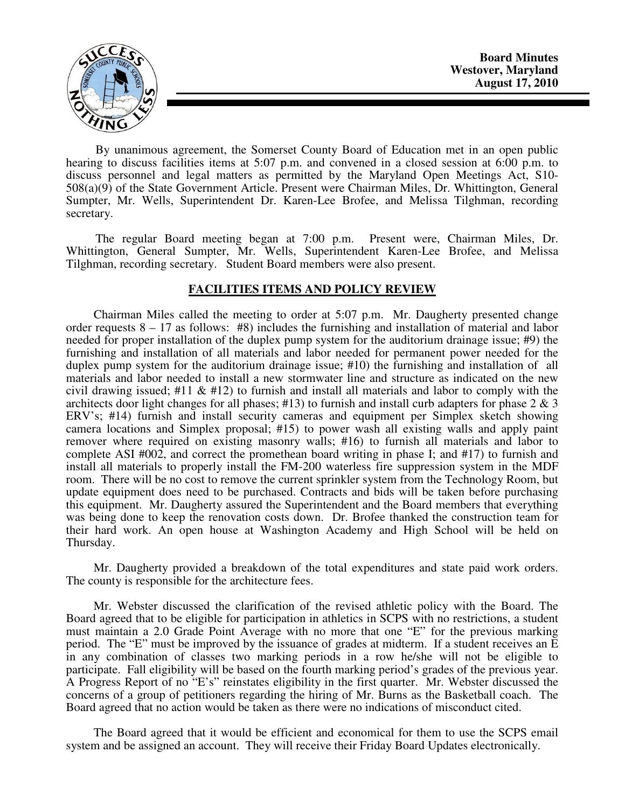**Board Minutes Westover, Maryland August 17, 2010** 



By unanimous agreement, the Somerset County Board of Education met in an open public hearing to discuss facilities items at 5:07 p.m. and convened in a closed session at 6:00 p.m. to discuss personnel and legal matters as permitted by the Maryland Open Meetings Act, S10- 508(a)(9) of the State Government Article. Present were Chairman Miles, Dr. Whittington, General Sumpter, Mr. Wells, Superintendent Dr. Karen-Lee Brofee, and Melissa Tilghman, recording secretary.

The regular Board meeting began at 7:00 p.m. Present were, Chairman Miles, Dr. Whittington, General Sumpter, Mr. Wells, Superintendent Karen-Lee Brofee, and Melissa Tilghman, recording secretary. Student Board members were also present.

## **FACILITIES ITEMS AND POLICY REVIEW**

 Chairman Miles called the meeting to order at 5:07 p.m. Mr. Daugherty presented change order requests  $8 - 17$  as follows: #8) includes the furnishing and installation of material and labor needed for proper installation of the duplex pump system for the auditorium drainage issue; #9) the furnishing and installation of all materials and labor needed for permanent power needed for the duplex pump system for the auditorium drainage issue; #10) the furnishing and installation of all materials and labor needed to install a new stormwater line and structure as indicated on the new civil drawing issued;  $\#11 \& \#12$ ) to furnish and install all materials and labor to comply with the architects door light changes for all phases; #13) to furnish and install curb adapters for phase  $2 \& 3$ ERV's; #14) furnish and install security cameras and equipment per Simplex sketch showing camera locations and Simplex proposal; #15) to power wash all existing walls and apply paint remover where required on existing masonry walls; #16) to furnish all materials and labor to complete ASI #002, and correct the promethean board writing in phase I; and #17) to furnish and install all materials to properly install the FM-200 waterless fire suppression system in the MDF room. There will be no cost to remove the current sprinkler system from the Technology Room, but update equipment does need to be purchased. Contracts and bids will be taken before purchasing this equipment. Mr. Daugherty assured the Superintendent and the Board members that everything was being done to keep the renovation costs down. Dr. Brofee thanked the construction team for their hard work. An open house at Washington Academy and High School will be held on Thursday.

 Mr. Daugherty provided a breakdown of the total expenditures and state paid work orders. The county is responsible for the architecture fees.

 Mr. Webster discussed the clarification of the revised athletic policy with the Board. The Board agreed that to be eligible for participation in athletics in SCPS with no restrictions, a student must maintain a 2.0 Grade Point Average with no more that one "E" for the previous marking period. The "E" must be improved by the issuance of grades at midterm. If a student receives an E in any combination of classes two marking periods in a row he/she will not be eligible to participate. Fall eligibility will be based on the fourth marking period's grades of the previous year. A Progress Report of no "E's" reinstates eligibility in the first quarter. Mr. Webster discussed the concerns of a group of petitioners regarding the hiring of Mr. Burns as the Basketball coach. The Board agreed that no action would be taken as there were no indications of misconduct cited.

 The Board agreed that it would be efficient and economical for them to use the SCPS email system and be assigned an account. They will receive their Friday Board Updates electronically.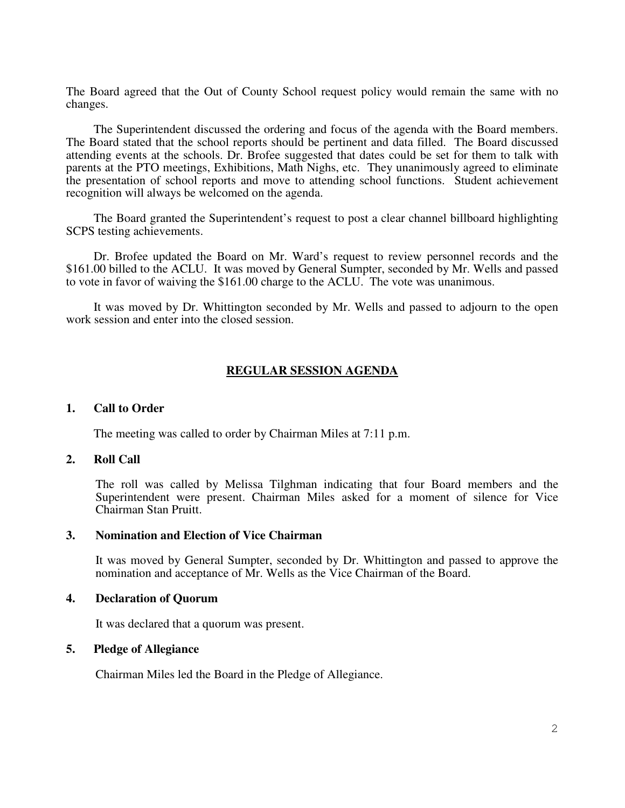The Board agreed that the Out of County School request policy would remain the same with no changes.

 The Superintendent discussed the ordering and focus of the agenda with the Board members. The Board stated that the school reports should be pertinent and data filled. The Board discussed attending events at the schools. Dr. Brofee suggested that dates could be set for them to talk with parents at the PTO meetings, Exhibitions, Math Nighs, etc. They unanimously agreed to eliminate the presentation of school reports and move to attending school functions. Student achievement recognition will always be welcomed on the agenda.

 The Board granted the Superintendent's request to post a clear channel billboard highlighting SCPS testing achievements.

 Dr. Brofee updated the Board on Mr. Ward's request to review personnel records and the \$161.00 billed to the ACLU. It was moved by General Sumpter, seconded by Mr. Wells and passed to vote in favor of waiving the \$161.00 charge to the ACLU. The vote was unanimous.

 It was moved by Dr. Whittington seconded by Mr. Wells and passed to adjourn to the open work session and enter into the closed session.

## **REGULAR SESSION AGENDA**

#### **1. Call to Order**

The meeting was called to order by Chairman Miles at 7:11 p.m.

#### **2. Roll Call**

The roll was called by Melissa Tilghman indicating that four Board members and the Superintendent were present. Chairman Miles asked for a moment of silence for Vice Chairman Stan Pruitt.

### **3. Nomination and Election of Vice Chairman**

It was moved by General Sumpter, seconded by Dr. Whittington and passed to approve the nomination and acceptance of Mr. Wells as the Vice Chairman of the Board.

### **4. Declaration of Quorum**

It was declared that a quorum was present.

### **5. Pledge of Allegiance**

Chairman Miles led the Board in the Pledge of Allegiance.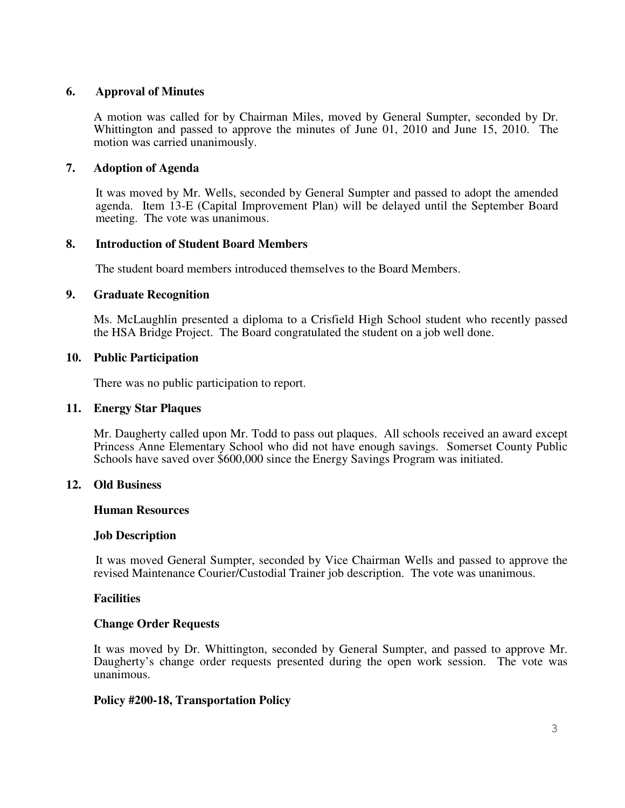## **6. Approval of Minutes**

A motion was called for by Chairman Miles, moved by General Sumpter, seconded by Dr. Whittington and passed to approve the minutes of June 01, 2010 and June 15, 2010. The motion was carried unanimously.

# **7. Adoption of Agenda**

 It was moved by Mr. Wells, seconded by General Sumpter and passed to adopt the amended agenda. Item 13-E (Capital Improvement Plan) will be delayed until the September Board meeting. The vote was unanimous.

# **8. Introduction of Student Board Members**

The student board members introduced themselves to the Board Members.

# **9. Graduate Recognition**

Ms. McLaughlin presented a diploma to a Crisfield High School student who recently passed the HSA Bridge Project. The Board congratulated the student on a job well done.

## **10. Public Participation**

There was no public participation to report.

### **11. Energy Star Plaques**

Mr. Daugherty called upon Mr. Todd to pass out plaques. All schools received an award except Princess Anne Elementary School who did not have enough savings. Somerset County Public Schools have saved over \$600,000 since the Energy Savings Program was initiated.

# **12. Old Business**

### **Human Resources**

### **Job Description**

It was moved General Sumpter, seconded by Vice Chairman Wells and passed to approve the revised Maintenance Courier/Custodial Trainer job description. The vote was unanimous.

# **Facilities**

### **Change Order Requests**

It was moved by Dr. Whittington, seconded by General Sumpter, and passed to approve Mr. Daugherty's change order requests presented during the open work session. The vote was unanimous.

# **Policy #200-18, Transportation Policy**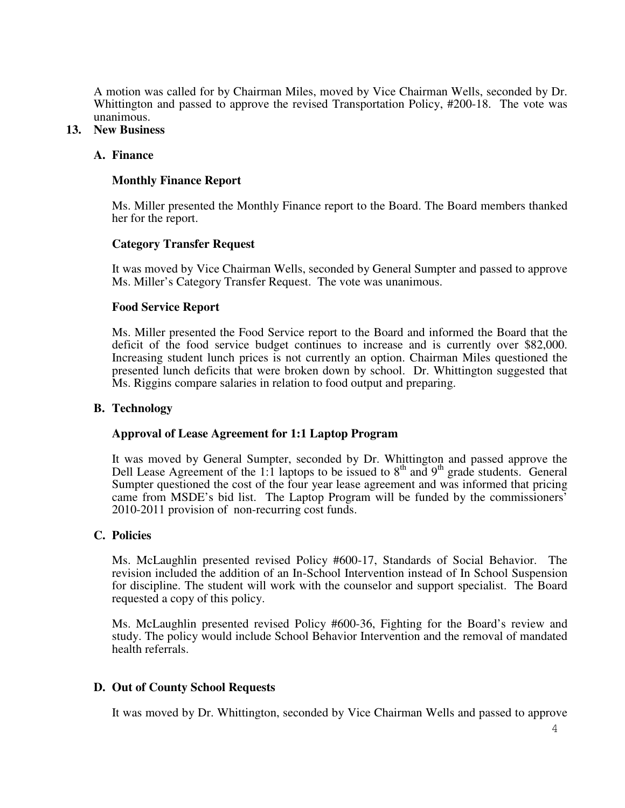A motion was called for by Chairman Miles, moved by Vice Chairman Wells, seconded by Dr. Whittington and passed to approve the revised Transportation Policy, #200-18. The vote was unanimous.

## **13. New Business**

### **A. Finance**

## **Monthly Finance Report**

Ms. Miller presented the Monthly Finance report to the Board. The Board members thanked her for the report.

## **Category Transfer Request**

It was moved by Vice Chairman Wells, seconded by General Sumpter and passed to approve Ms. Miller's Category Transfer Request. The vote was unanimous.

### **Food Service Report**

Ms. Miller presented the Food Service report to the Board and informed the Board that the deficit of the food service budget continues to increase and is currently over \$82,000. Increasing student lunch prices is not currently an option. Chairman Miles questioned the presented lunch deficits that were broken down by school. Dr. Whittington suggested that Ms. Riggins compare salaries in relation to food output and preparing.

### **B. Technology**

# **Approval of Lease Agreement for 1:1 Laptop Program**

It was moved by General Sumpter, seconded by Dr. Whittington and passed approve the Dell Lease Agreement of the 1:1 laptops to be issued to  $8<sup>th</sup>$  and  $9<sup>th</sup>$  grade students. General Sumpter questioned the cost of the four year lease agreement and was informed that pricing came from MSDE's bid list. The Laptop Program will be funded by the commissioners' 2010-2011 provision of non-recurring cost funds.

### **C. Policies**

Ms. McLaughlin presented revised Policy #600-17, Standards of Social Behavior. The revision included the addition of an In-School Intervention instead of In School Suspension for discipline. The student will work with the counselor and support specialist. The Board requested a copy of this policy.

Ms. McLaughlin presented revised Policy #600-36, Fighting for the Board's review and study. The policy would include School Behavior Intervention and the removal of mandated health referrals.

# **D. Out of County School Requests**

It was moved by Dr. Whittington, seconded by Vice Chairman Wells and passed to approve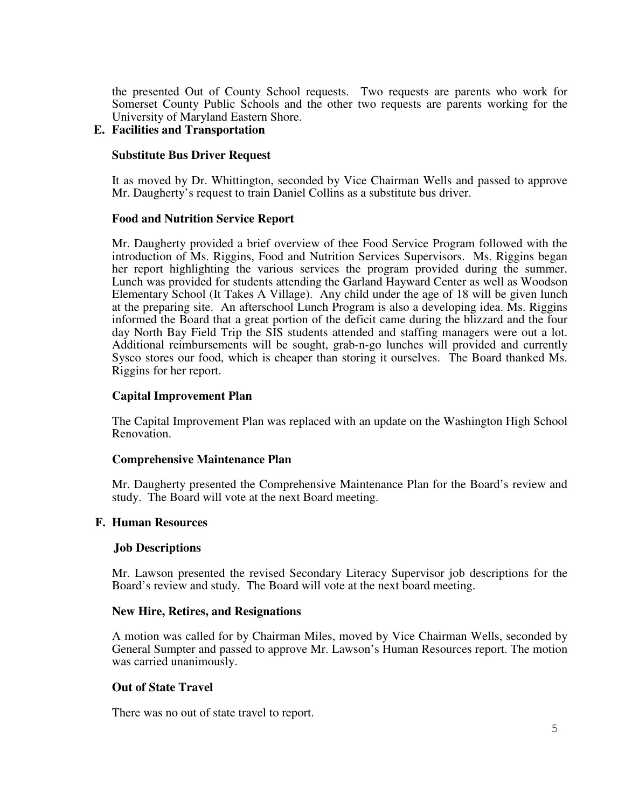the presented Out of County School requests. Two requests are parents who work for Somerset County Public Schools and the other two requests are parents working for the University of Maryland Eastern Shore.

## **E. Facilities and Transportation**

### **Substitute Bus Driver Request**

It as moved by Dr. Whittington, seconded by Vice Chairman Wells and passed to approve Mr. Daugherty's request to train Daniel Collins as a substitute bus driver.

### **Food and Nutrition Service Report**

Mr. Daugherty provided a brief overview of thee Food Service Program followed with the introduction of Ms. Riggins, Food and Nutrition Services Supervisors. Ms. Riggins began her report highlighting the various services the program provided during the summer. Lunch was provided for students attending the Garland Hayward Center as well as Woodson Elementary School (It Takes A Village). Any child under the age of 18 will be given lunch at the preparing site. An afterschool Lunch Program is also a developing idea. Ms. Riggins informed the Board that a great portion of the deficit came during the blizzard and the four day North Bay Field Trip the SIS students attended and staffing managers were out a lot. Additional reimbursements will be sought, grab-n-go lunches will provided and currently Sysco stores our food, which is cheaper than storing it ourselves. The Board thanked Ms. Riggins for her report.

## **Capital Improvement Plan**

The Capital Improvement Plan was replaced with an update on the Washington High School Renovation.

### **Comprehensive Maintenance Plan**

Mr. Daugherty presented the Comprehensive Maintenance Plan for the Board's review and study. The Board will vote at the next Board meeting.

### **F. Human Resources**

### **Job Descriptions**

Mr. Lawson presented the revised Secondary Literacy Supervisor job descriptions for the Board's review and study. The Board will vote at the next board meeting.

### **New Hire, Retires, and Resignations**

A motion was called for by Chairman Miles, moved by Vice Chairman Wells, seconded by General Sumpter and passed to approve Mr. Lawson's Human Resources report. The motion was carried unanimously.

### **Out of State Travel**

There was no out of state travel to report.